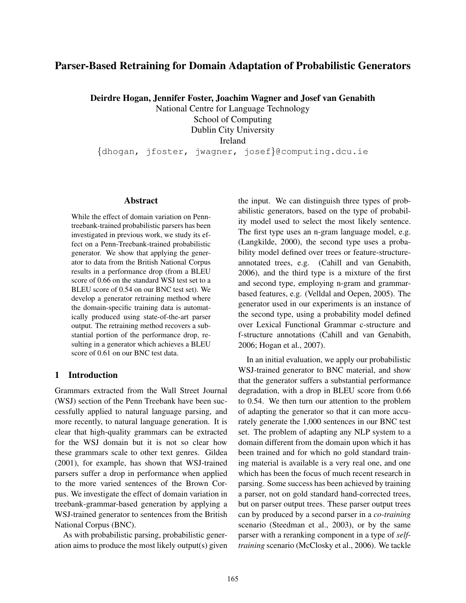# Parser-Based Retraining for Domain Adaptation of Probabilistic Generators

Deirdre Hogan, Jennifer Foster, Joachim Wagner and Josef van Genabith

National Centre for Language Technology School of Computing Dublin City University Ireland

{dhogan, jfoster, jwagner, josef}@computing.dcu.ie

#### Abstract

While the effect of domain variation on Penntreebank-trained probabilistic parsers has been investigated in previous work, we study its effect on a Penn-Treebank-trained probabilistic generator. We show that applying the generator to data from the British National Corpus results in a performance drop (from a BLEU score of 0.66 on the standard WSJ test set to a BLEU score of 0.54 on our BNC test set). We develop a generator retraining method where the domain-specific training data is automatically produced using state-of-the-art parser output. The retraining method recovers a substantial portion of the performance drop, resulting in a generator which achieves a BLEU score of 0.61 on our BNC test data.

### 1 Introduction

Grammars extracted from the Wall Street Journal (WSJ) section of the Penn Treebank have been successfully applied to natural language parsing, and more recently, to natural language generation. It is clear that high-quality grammars can be extracted for the WSJ domain but it is not so clear how these grammars scale to other text genres. Gildea (2001), for example, has shown that WSJ-trained parsers suffer a drop in performance when applied to the more varied sentences of the Brown Corpus. We investigate the effect of domain variation in treebank-grammar-based generation by applying a WSJ-trained generator to sentences from the British National Corpus (BNC).

As with probabilistic parsing, probabilistic generation aims to produce the most likely output(s) given the input. We can distinguish three types of probabilistic generators, based on the type of probability model used to select the most likely sentence. The first type uses an n-gram language model, e.g. (Langkilde, 2000), the second type uses a probability model defined over trees or feature-structureannotated trees, e.g. (Cahill and van Genabith, 2006), and the third type is a mixture of the first and second type, employing n-gram and grammarbased features, e.g. (Velldal and Oepen, 2005). The generator used in our experiments is an instance of the second type, using a probability model defined over Lexical Functional Grammar c-structure and f-structure annotations (Cahill and van Genabith, 2006; Hogan et al., 2007).

In an initial evaluation, we apply our probabilistic WSJ-trained generator to BNC material, and show that the generator suffers a substantial performance degradation, with a drop in BLEU score from 0.66 to 0.54. We then turn our attention to the problem of adapting the generator so that it can more accurately generate the 1,000 sentences in our BNC test set. The problem of adapting any NLP system to a domain different from the domain upon which it has been trained and for which no gold standard training material is available is a very real one, and one which has been the focus of much recent research in parsing. Some success has been achieved by training a parser, not on gold standard hand-corrected trees, but on parser output trees. These parser output trees can by produced by a second parser in a *co-training* scenario (Steedman et al., 2003), or by the same parser with a reranking component in a type of *selftraining* scenario (McClosky et al., 2006). We tackle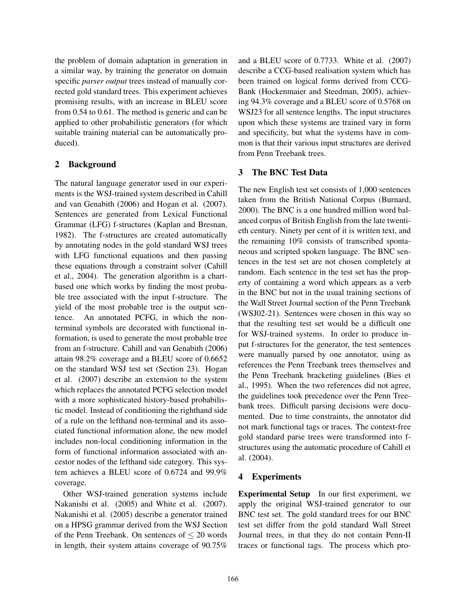the problem of domain adaptation in generation in a similar way, by training the generator on domain specific *parser output* trees instead of manually corrected gold standard trees. This experiment achieves promising results, with an increase in BLEU score from 0.54 to 0.61. The method is generic and can be applied to other probabilistic generators (for which suitable training material can be automatically produced).

## 2 Background

The natural language generator used in our experiments is the WSJ-trained system described in Cahill and van Genabith (2006) and Hogan et al. (2007). Sentences are generated from Lexical Functional Grammar (LFG) f-structures (Kaplan and Bresnan, 1982). The f-structures are created automatically by annotating nodes in the gold standard WSJ trees with LFG functional equations and then passing these equations through a constraint solver (Cahill et al., 2004). The generation algorithm is a chartbased one which works by finding the most probable tree associated with the input f-structure. The yield of the most probable tree is the output sentence. An annotated PCFG, in which the nonterminal symbols are decorated with functional information, is used to generate the most probable tree from an f-structure. Cahill and van Genabith (2006) attain 98.2% coverage and a BLEU score of 0.6652 on the standard WSJ test set (Section 23). Hogan et al. (2007) describe an extension to the system which replaces the annotated PCFG selection model with a more sophisticated history-based probabilistic model. Instead of conditioning the righthand side of a rule on the lefthand non-terminal and its associated functional information alone, the new model includes non-local conditioning information in the form of functional information associated with ancestor nodes of the lefthand side category. This system achieves a BLEU score of 0.6724 and 99.9% coverage.

Other WSJ-trained generation systems include Nakanishi et al. (2005) and White et al. (2007). Nakanishi et al. (2005) describe a generator trained on a HPSG grammar derived from the WSJ Section of the Penn Treebank. On sentences of  $\leq 20$  words in length, their system attains coverage of 90.75%

and a BLEU score of 0.7733. White et al. (2007) describe a CCG-based realisation system which has been trained on logical forms derived from CCG-Bank (Hockenmaier and Steedman, 2005), achieving 94.3% coverage and a BLEU score of 0.5768 on WSJ23 for all sentence lengths. The input structures upon which these systems are trained vary in form and specificity, but what the systems have in common is that their various input structures are derived from Penn Treebank trees.

# 3 The BNC Test Data

The new English test set consists of 1,000 sentences taken from the British National Corpus (Burnard, 2000). The BNC is a one hundred million word balanced corpus of British English from the late twentieth century. Ninety per cent of it is written text, and the remaining 10% consists of transcribed spontaneous and scripted spoken language. The BNC sentences in the test set are not chosen completely at random. Each sentence in the test set has the property of containing a word which appears as a verb in the BNC but not in the usual training sections of the Wall Street Journal section of the Penn Treebank (WSJ02-21). Sentences were chosen in this way so that the resulting test set would be a difficult one for WSJ-trained systems. In order to produce input f-structures for the generator, the test sentences were manually parsed by one annotator, using as references the Penn Treebank trees themselves and the Penn Treebank bracketing guidelines (Bies et al., 1995). When the two references did not agree, the guidelines took precedence over the Penn Treebank trees. Difficult parsing decisions were documented. Due to time constraints, the annotator did not mark functional tags or traces. The context-free gold standard parse trees were transformed into fstructures using the automatic procedure of Cahill et al. (2004).

## 4 Experiments

Experimental Setup In our first experiment, we apply the original WSJ-trained generator to our BNC test set. The gold standard trees for our BNC test set differ from the gold standard Wall Street Journal trees, in that they do not contain Penn-II traces or functional tags. The process which pro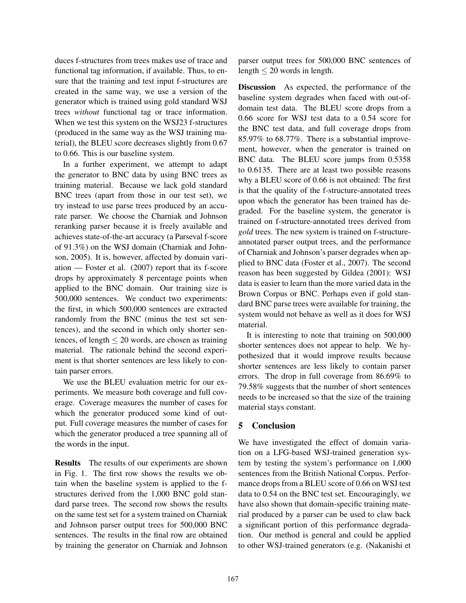duces f-structures from trees makes use of trace and functional tag information, if available. Thus, to ensure that the training and test input f-structures are created in the same way, we use a version of the generator which is trained using gold standard WSJ trees *without* functional tag or trace information. When we test this system on the WSJ23 f-structures (produced in the same way as the WSJ training material), the BLEU score decreases slightly from 0.67 to 0.66. This is our baseline system.

In a further experiment, we attempt to adapt the generator to BNC data by using BNC trees as training material. Because we lack gold standard BNC trees (apart from those in our test set), we try instead to use parse trees produced by an accurate parser. We choose the Charniak and Johnson reranking parser because it is freely available and achieves state-of-the-art accuracy (a Parseval f-score of 91.3%) on the WSJ domain (Charniak and Johnson, 2005). It is, however, affected by domain variation — Foster et al. (2007) report that its f-score drops by approximately 8 percentage points when applied to the BNC domain. Our training size is 500,000 sentences. We conduct two experiments: the first, in which 500,000 sentences are extracted randomly from the BNC (minus the test set sentences), and the second in which only shorter sentences, of length  $\leq 20$  words, are chosen as training material. The rationale behind the second experiment is that shorter sentences are less likely to contain parser errors.

We use the BLEU evaluation metric for our experiments. We measure both coverage and full coverage. Coverage measures the number of cases for which the generator produced some kind of output. Full coverage measures the number of cases for which the generator produced a tree spanning all of the words in the input.

Results The results of our experiments are shown in Fig. 1. The first row shows the results we obtain when the baseline system is applied to the fstructures derived from the 1,000 BNC gold standard parse trees. The second row shows the results on the same test set for a system trained on Charniak and Johnson parser output trees for 500,000 BNC sentences. The results in the final row are obtained by training the generator on Charniak and Johnson parser output trees for 500,000 BNC sentences of length  $\leq 20$  words in length.

Discussion As expected, the performance of the baseline system degrades when faced with out-ofdomain test data. The BLEU score drops from a 0.66 score for WSJ test data to a 0.54 score for the BNC test data, and full coverage drops from 85.97% to 68.77%. There is a substantial improvement, however, when the generator is trained on BNC data. The BLEU score jumps from 0.5358 to 0.6135. There are at least two possible reasons why a BLEU score of 0.66 is not obtained: The first is that the quality of the f-structure-annotated trees upon which the generator has been trained has degraded. For the baseline system, the generator is trained on f-structure-annotated trees derived from *gold* trees. The new system is trained on f-structureannotated parser output trees, and the performance of Charniak and Johnson's parser degrades when applied to BNC data (Foster et al., 2007). The second reason has been suggested by Gildea (2001): WSJ data is easier to learn than the more varied data in the Brown Corpus or BNC. Perhaps even if gold standard BNC parse trees were available for training, the system would not behave as well as it does for WSJ material.

It is interesting to note that training on 500,000 shorter sentences does not appear to help. We hypothesized that it would improve results because shorter sentences are less likely to contain parser errors. The drop in full coverage from 86.69% to 79.58% suggests that the number of short sentences needs to be increased so that the size of the training material stays constant.

## 5 Conclusion

We have investigated the effect of domain variation on a LFG-based WSJ-trained generation system by testing the system's performance on 1,000 sentences from the British National Corpus. Performance drops from a BLEU score of 0.66 on WSJ test data to 0.54 on the BNC test set. Encouragingly, we have also shown that domain-specific training material produced by a parser can be used to claw back a significant portion of this performance degradation. Our method is general and could be applied to other WSJ-trained generators (e.g. (Nakanishi et